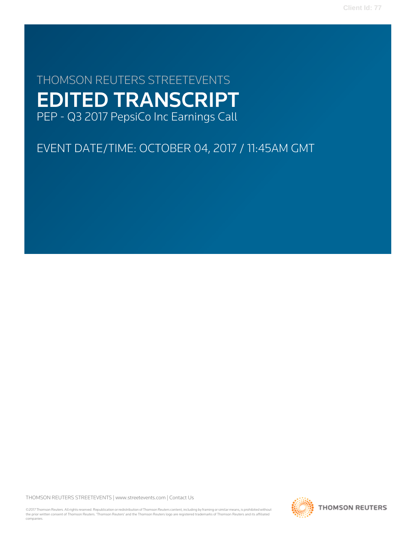**Client Id: 77**

# THOMSON REUTERS STREETEVENTS EDITED TRANSCRIPT PEP - Q3 2017 PepsiCo Inc Earnings Call

# EVENT DATE/TIME: OCTOBER 04, 2017 / 11:45AM GMT

THOMSON REUTERS STREETEVENTS | [www.streetevents.com](http://www.streetevents.com) | [Contact Us](http://www010.streetevents.com/contact.asp)

©2017 Thomson Reuters. All rights reserved. Republication or redistribution of Thomson Reuters content, including by framing or similar means, is prohibited without the prior written consent of Thomson Reuters. 'Thomson Reuters' and the Thomson Reuters logo are registered trademarks of Thomson Reuters and its affiliated companies.

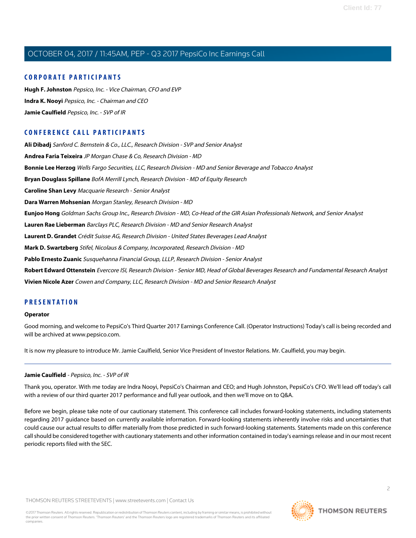### **CORPORATE PARTICIPANTS**

**[Hugh F. Johnston](#page-5-0)** Pepsico, Inc. - Vice Chairman, CFO and EVP **[Indra K. Nooyi](#page-2-0)** Pepsico, Inc. - Chairman and CEO **[Jamie Caulfield](#page-1-0)** Pepsico, Inc. - SVP of IR

# **CONFERENCE CALL PARTICIPANTS**

**[Ali Dibadj](#page-10-0)** Sanford C. Bernstein & Co., LLC., Research Division - SVP and Senior Analyst **[Andrea Faria Teixeira](#page-14-0)** JP Morgan Chase & Co, Research Division - MD **[Bonnie Lee Herzog](#page-7-0)** Wells Fargo Securities, LLC, Research Division - MD and Senior Beverage and Tobacco Analyst **[Bryan Douglass Spillane](#page-9-0)** BofA Merrill Lynch, Research Division - MD of Equity Research **[Caroline Shan Levy](#page-13-0)** Macquarie Research - Senior Analyst **[Dara Warren Mohsenian](#page-8-0)** Morgan Stanley, Research Division - MD **[Eunjoo Hong](#page-5-1)** Goldman Sachs Group Inc., Research Division - MD, Co-Head of the GIR Asian Professionals Network, and Senior Analyst **[Lauren Rae Lieberman](#page-9-1)** Barclays PLC, Research Division - MD and Senior Research Analyst **[Laurent D. Grandet](#page-6-0)** Crédit Suisse AG, Research Division - United States Beverages Lead Analyst **[Mark D. Swartzberg](#page-13-1)** Stifel, Nicolaus & Company, Incorporated, Research Division - MD **[Pablo Ernesto Zuanic](#page-12-0)** Susquehanna Financial Group, LLLP, Research Division - Senior Analyst **[Robert Edward Ottenstein](#page-11-0)** Evercore ISI, Research Division - Senior MD, Head of Global Beverages Research and Fundamental Research Analyst **[Vivien Nicole Azer](#page-8-1)** Cowen and Company, LLC, Research Division - MD and Senior Research Analyst

### **PRESENTATION**

#### **Operator**

<span id="page-1-0"></span>Good morning, and welcome to PepsiCo's Third Quarter 2017 Earnings Conference Call. (Operator Instructions) Today's call is being recorded and will be archived at www.pepsico.com.

It is now my pleasure to introduce Mr. Jamie Caulfield, Senior Vice President of Investor Relations. Mr. Caulfield, you may begin.

#### **Jamie Caulfield** - Pepsico, Inc. - SVP of IR

Thank you, operator. With me today are Indra Nooyi, PepsiCo's Chairman and CEO; and Hugh Johnston, PepsiCo's CFO. We'll lead off today's call with a review of our third quarter 2017 performance and full year outlook, and then we'll move on to Q&A.

Before we begin, please take note of our cautionary statement. This conference call includes forward-looking statements, including statements regarding 2017 guidance based on currently available information. Forward-looking statements inherently involve risks and uncertainties that could cause our actual results to differ materially from those predicted in such forward-looking statements. Statements made on this conference call should be considered together with cautionary statements and other information contained in today's earnings release and in our most recent periodic reports filed with the SEC.

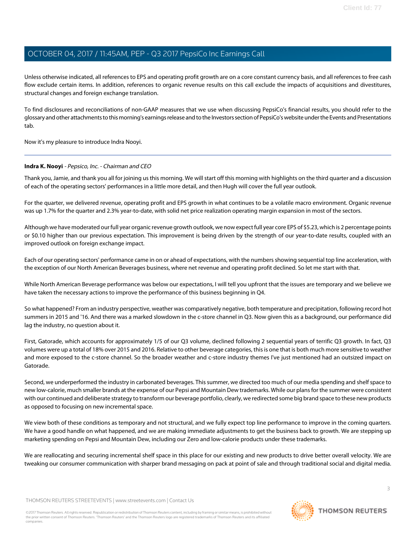Unless otherwise indicated, all references to EPS and operating profit growth are on a core constant currency basis, and all references to free cash flow exclude certain items. In addition, references to organic revenue results on this call exclude the impacts of acquisitions and divestitures, structural changes and foreign exchange translation.

To find disclosures and reconciliations of non-GAAP measures that we use when discussing PepsiCo's financial results, you should refer to the glossary and other attachments to this morning's earnings release and to the Investors section of PepsiCo's website under the Events and Presentations tab.

<span id="page-2-0"></span>Now it's my pleasure to introduce Indra Nooyi.

#### **Indra K. Nooyi** - Pepsico, Inc. - Chairman and CEO

Thank you, Jamie, and thank you all for joining us this morning. We will start off this morning with highlights on the third quarter and a discussion of each of the operating sectors' performances in a little more detail, and then Hugh will cover the full year outlook.

For the quarter, we delivered revenue, operating profit and EPS growth in what continues to be a volatile macro environment. Organic revenue was up 1.7% for the quarter and 2.3% year-to-date, with solid net price realization operating margin expansion in most of the sectors.

Although we have moderated our full year organic revenue growth outlook, we now expect full year core EPS of \$5.23, which is 2 percentage points or \$0.10 higher than our previous expectation. This improvement is being driven by the strength of our year-to-date results, coupled with an improved outlook on foreign exchange impact.

Each of our operating sectors' performance came in on or ahead of expectations, with the numbers showing sequential top line acceleration, with the exception of our North American Beverages business, where net revenue and operating profit declined. So let me start with that.

While North American Beverage performance was below our expectations, I will tell you upfront that the issues are temporary and we believe we have taken the necessary actions to improve the performance of this business beginning in Q4.

So what happened? From an industry perspective, weather was comparatively negative, both temperature and precipitation, following record hot summers in 2015 and '16. And there was a marked slowdown in the c-store channel in Q3. Now given this as a background, our performance did lag the industry, no question about it.

First, Gatorade, which accounts for approximately 1/5 of our Q3 volume, declined following 2 sequential years of terrific Q3 growth. In fact, Q3 volumes were up a total of 18% over 2015 and 2016. Relative to other beverage categories, this is one that is both much more sensitive to weather and more exposed to the c-store channel. So the broader weather and c-store industry themes I've just mentioned had an outsized impact on Gatorade.

Second, we underperformed the industry in carbonated beverages. This summer, we directed too much of our media spending and shelf space to new low-calorie, much smaller brands at the expense of our Pepsi and Mountain Dew trademarks. While our plans for the summer were consistent with our continued and deliberate strategy to transform our beverage portfolio, clearly, we redirected some big brand space to these new products as opposed to focusing on new incremental space.

We view both of these conditions as temporary and not structural, and we fully expect top line performance to improve in the coming quarters. We have a good handle on what happened, and we are making immediate adjustments to get the business back to growth. We are stepping up marketing spending on Pepsi and Mountain Dew, including our Zero and low-calorie products under these trademarks.

We are reallocating and securing incremental shelf space in this place for our existing and new products to drive better overall velocity. We are tweaking our consumer communication with sharper brand messaging on pack at point of sale and through traditional social and digital media.

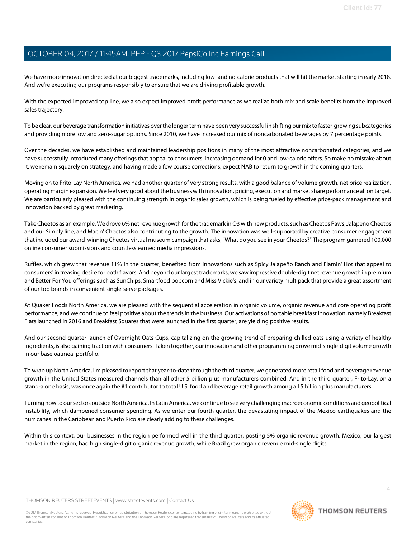We have more innovation directed at our biggest trademarks, including low- and no-calorie products that will hit the market starting in early 2018. And we're executing our programs responsibly to ensure that we are driving profitable growth.

With the expected improved top line, we also expect improved profit performance as we realize both mix and scale benefits from the improved sales trajectory.

To be clear, our beverage transformation initiatives over the longer term have been very successful in shifting our mix to faster-growing subcategories and providing more low and zero-sugar options. Since 2010, we have increased our mix of noncarbonated beverages by 7 percentage points.

Over the decades, we have established and maintained leadership positions in many of the most attractive noncarbonated categories, and we have successfully introduced many offerings that appeal to consumers' increasing demand for 0 and low-calorie offers. So make no mistake about it, we remain squarely on strategy, and having made a few course corrections, expect NAB to return to growth in the coming quarters.

Moving on to Frito-Lay North America, we had another quarter of very strong results, with a good balance of volume growth, net price realization, operating margin expansion. We feel very good about the business with innovation, pricing, execution and market share performance all on target. We are particularly pleased with the continuing strength in organic sales growth, which is being fueled by effective price-pack management and innovation backed by great marketing.

Take Cheetos as an example. We drove 6% net revenue growth for the trademark in Q3 with new products, such as Cheetos Paws, Jalapeño Cheetos and our Simply line, and Mac n' Cheetos also contributing to the growth. The innovation was well-supported by creative consumer engagement that included our award-winning Cheetos virtual museum campaign that asks, "What do you see in your Cheetos?" The program garnered 100,000 online consumer submissions and countless earned media impressions.

Ruffles, which grew that revenue 11% in the quarter, benefited from innovations such as Spicy Jalapeño Ranch and Flamin' Hot that appeal to consumers' increasing desire for both flavors. And beyond our largest trademarks, we saw impressive double-digit net revenue growth in premium and Better For You offerings such as SunChips, Smartfood popcorn and Miss Vickie's, and in our variety multipack that provide a great assortment of our top brands in convenient single-serve packages.

At Quaker Foods North America, we are pleased with the sequential acceleration in organic volume, organic revenue and core operating profit performance, and we continue to feel positive about the trends in the business. Our activations of portable breakfast innovation, namely Breakfast Flats launched in 2016 and Breakfast Squares that were launched in the first quarter, are yielding positive results.

And our second quarter launch of Overnight Oats Cups, capitalizing on the growing trend of preparing chilled oats using a variety of healthy ingredients, is also gaining traction with consumers. Taken together, our innovation and other programming drove mid-single-digit volume growth in our base oatmeal portfolio.

To wrap up North America, I'm pleased to report that year-to-date through the third quarter, we generated more retail food and beverage revenue growth in the United States measured channels than all other 5 billion plus manufacturers combined. And in the third quarter, Frito-Lay, on a stand-alone basis, was once again the #1 contributor to total U.S. food and beverage retail growth among all 5 billion plus manufacturers.

Turning now to our sectors outside North America. In Latin America, we continue to see very challenging macroeconomic conditions and geopolitical instability, which dampened consumer spending. As we enter our fourth quarter, the devastating impact of the Mexico earthquakes and the hurricanes in the Caribbean and Puerto Rico are clearly adding to these challenges.

Within this context, our businesses in the region performed well in the third quarter, posting 5% organic revenue growth. Mexico, our largest market in the region, had high single-digit organic revenue growth, while Brazil grew organic revenue mid-single digits.

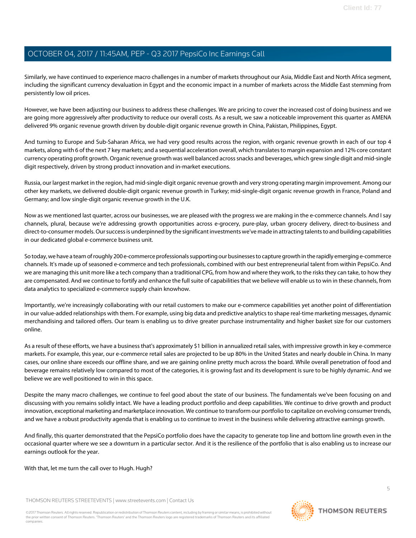Similarly, we have continued to experience macro challenges in a number of markets throughout our Asia, Middle East and North Africa segment, including the significant currency devaluation in Egypt and the economic impact in a number of markets across the Middle East stemming from persistently low oil prices.

However, we have been adjusting our business to address these challenges. We are pricing to cover the increased cost of doing business and we are going more aggressively after productivity to reduce our overall costs. As a result, we saw a noticeable improvement this quarter as AMENA delivered 9% organic revenue growth driven by double-digit organic revenue growth in China, Pakistan, Philippines, Egypt.

And turning to Europe and Sub-Saharan Africa, we had very good results across the region, with organic revenue growth in each of our top 4 markets, along with 6 of the next 7 key markets; and a sequential acceleration overall, which translates to margin expansion and 12% core constant currency operating profit growth. Organic revenue growth was well balanced across snacks and beverages, which grew single digit and mid-single digit respectively, driven by strong product innovation and in-market executions.

Russia, our largest market in the region, had mid-single-digit organic revenue growth and very strong operating margin improvement. Among our other key markets, we delivered double-digit organic revenue growth in Turkey; mid-single-digit organic revenue growth in France, Poland and Germany; and low single-digit organic revenue growth in the U.K.

Now as we mentioned last quarter, across our businesses, we are pleased with the progress we are making in the e-commerce channels. And I say channels, plural, because we're addressing growth opportunities across e-grocery, pure-play, urban grocery delivery, direct-to-business and direct-to-consumer models. Our success is underpinned by the significant investments we've made in attracting talents to and building capabilities in our dedicated global e-commerce business unit.

So today, we have a team of roughly 200 e-commerce professionals supporting our businesses to capture growth in the rapidly emerging e-commerce channels. It's made up of seasoned e-commerce and tech professionals, combined with our best entrepreneurial talent from within PepsiCo. And we are managing this unit more like a tech company than a traditional CPG, from how and where they work, to the risks they can take, to how they are compensated. And we continue to fortify and enhance the full suite of capabilities that we believe will enable us to win in these channels, from data analytics to specialized e-commerce supply chain knowhow.

Importantly, we're increasingly collaborating with our retail customers to make our e-commerce capabilities yet another point of differentiation in our value-added relationships with them. For example, using big data and predictive analytics to shape real-time marketing messages, dynamic merchandising and tailored offers. Our team is enabling us to drive greater purchase instrumentality and higher basket size for our customers online.

As a result of these efforts, we have a business that's approximately \$1 billion in annualized retail sales, with impressive growth in key e-commerce markets. For example, this year, our e-commerce retail sales are projected to be up 80% in the United States and nearly double in China. In many cases, our online share exceeds our offline share, and we are gaining online pretty much across the board. While overall penetration of food and beverage remains relatively low compared to most of the categories, it is growing fast and its development is sure to be highly dynamic. And we believe we are well positioned to win in this space.

Despite the many macro challenges, we continue to feel good about the state of our business. The fundamentals we've been focusing on and discussing with you remains solidly intact. We have a leading product portfolio and deep capabilities. We continue to drive growth and product innovation, exceptional marketing and marketplace innovation. We continue to transform our portfolio to capitalize on evolving consumer trends, and we have a robust productivity agenda that is enabling us to continue to invest in the business while delivering attractive earnings growth.

And finally, this quarter demonstrated that the PepsiCo portfolio does have the capacity to generate top line and bottom line growth even in the occasional quarter where we see a downturn in a particular sector. And it is the resilience of the portfolio that is also enabling us to increase our earnings outlook for the year.

With that, let me turn the call over to Hugh. Hugh?

THOMSON REUTERS STREETEVENTS | [www.streetevents.com](http://www.streetevents.com) | [Contact Us](http://www010.streetevents.com/contact.asp)

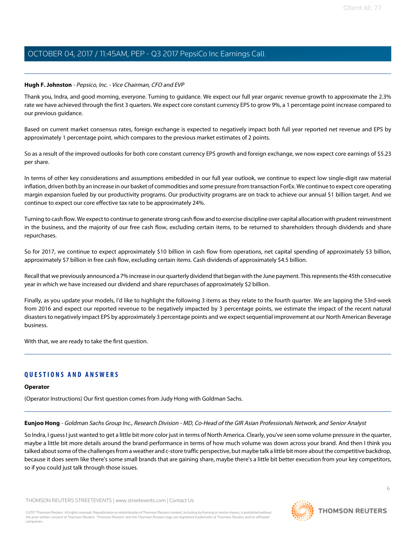#### <span id="page-5-0"></span>**Hugh F. Johnston** - Pepsico, Inc. - Vice Chairman, CFO and EVP

Thank you, Indra, and good morning, everyone. Turning to guidance. We expect our full year organic revenue growth to approximate the 2.3% rate we have achieved through the first 3 quarters. We expect core constant currency EPS to grow 9%, a 1 percentage point increase compared to our previous guidance.

Based on current market consensus rates, foreign exchange is expected to negatively impact both full year reported net revenue and EPS by approximately 1 percentage point, which compares to the previous market estimates of 2 points.

So as a result of the improved outlooks for both core constant currency EPS growth and foreign exchange, we now expect core earnings of \$5.23 per share.

In terms of other key considerations and assumptions embedded in our full year outlook, we continue to expect low single-digit raw material inflation, driven both by an increase in our basket of commodities and some pressure from transaction ForEx. We continue to expect core operating margin expansion fueled by our productivity programs. Our productivity programs are on track to achieve our annual \$1 billion target. And we continue to expect our core effective tax rate to be approximately 24%.

Turning to cash flow. We expect to continue to generate strong cash flow and to exercise discipline over capital allocation with prudent reinvestment in the business, and the majority of our free cash flow, excluding certain items, to be returned to shareholders through dividends and share repurchases.

So for 2017, we continue to expect approximately \$10 billion in cash flow from operations, net capital spending of approximately \$3 billion, approximately \$7 billion in free cash flow, excluding certain items. Cash dividends of approximately \$4.5 billion.

Recall that we previously announced a 7% increase in our quarterly dividend that began with the June payment. This represents the 45th consecutive year in which we have increased our dividend and share repurchases of approximately \$2 billion.

Finally, as you update your models, I'd like to highlight the following 3 items as they relate to the fourth quarter. We are lapping the 53rd-week from 2016 and expect our reported revenue to be negatively impacted by 3 percentage points, we estimate the impact of the recent natural disasters to negatively impact EPS by approximately 3 percentage points and we expect sequential improvement at our North American Beverage business.

With that, we are ready to take the first question.

#### **QUESTIONS AND ANSWERS**

#### <span id="page-5-1"></span>**Operator**

(Operator Instructions) Our first question comes from Judy Hong with Goldman Sachs.

**Eunjoo Hong** - Goldman Sachs Group Inc., Research Division - MD, Co-Head of the GIR Asian Professionals Network, and Senior Analyst

So Indra, I guess I just wanted to get a little bit more color just in terms of North America. Clearly, you've seen some volume pressure in the quarter, maybe a little bit more details around the brand performance in terms of how much volume was down across your brand. And then I think you talked about some of the challenges from a weather and c-store traffic perspective, but maybe talk a little bit more about the competitive backdrop, because it does seem like there's some small brands that are gaining share, maybe there's a little bit better execution from your key competitors, so if you could just talk through those issues.

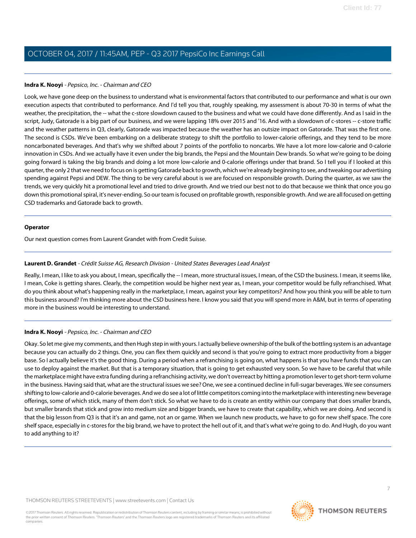#### **Indra K. Nooyi** - Pepsico, Inc. - Chairman and CEO

Look, we have gone deep on the business to understand what is environmental factors that contributed to our performance and what is our own execution aspects that contributed to performance. And I'd tell you that, roughly speaking, my assessment is about 70-30 in terms of what the weather, the precipitation, the -- what the c-store slowdown caused to the business and what we could have done differently. And as I said in the script, Judy, Gatorade is a big part of our business, and we were lapping 18% over 2015 and '16. And with a slowdown of c-stores -- c-store traffic and the weather patterns in Q3, clearly, Gatorade was impacted because the weather has an outsize impact on Gatorade. That was the first one. The second is CSDs. We've been embarking on a deliberate strategy to shift the portfolio to lower-calorie offerings, and they tend to be more noncarbonated beverages. And that's why we shifted about 7 points of the portfolio to noncarbs. We have a lot more low-calorie and 0-calorie innovation in CSDs. And we actually have it even under the big brands, the Pepsi and the Mountain Dew brands. So what we're going to be doing going forward is taking the big brands and doing a lot more low-calorie and 0-calorie offerings under that brand. So I tell you if I looked at this quarter, the only 2 that we need to focus on is getting Gatorade back to growth, which we're already beginning to see, and tweaking our advertising spending against Pepsi and DEW. The thing to be very careful about is we are focused on responsible growth. During the quarter, as we saw the trends, we very quickly hit a promotional level and tried to drive growth. And we tried our best not to do that because we think that once you go down this promotional spiral, it's never-ending. So our team is focused on profitable growth, responsible growth. And we are all focused on getting CSD trademarks and Gatorade back to growth.

#### **Operator**

<span id="page-6-0"></span>Our next question comes from Laurent Grandet with from Credit Suisse.

#### **Laurent D. Grandet** - Crédit Suisse AG, Research Division - United States Beverages Lead Analyst

Really, I mean, I like to ask you about, I mean, specifically the -- I mean, more structural issues, I mean, of the CSD the business. I mean, it seems like, I mean, Coke is getting shares. Clearly, the competition would be higher next year as, I mean, your competitor would be fully refranchised. What do you think about what's happening really in the marketplace, I mean, against your key competitors? And how you think you will be able to turn this business around? I'm thinking more about the CSD business here. I know you said that you will spend more in A&M, but in terms of operating more in the business would be interesting to understand.

#### **Indra K. Nooyi** - Pepsico, Inc. - Chairman and CEO

Okay. So let me give my comments, and then Hugh step in with yours. I actually believe ownership of the bulk of the bottling system is an advantage because you can actually do 2 things. One, you can flex them quickly and second is that you're going to extract more productivity from a bigger base. So I actually believe it's the good thing. During a period when a refranchising is going on, what happens is that you have funds that you can use to deploy against the market. But that is a temporary situation, that is going to get exhausted very soon. So we have to be careful that while the marketplace might have extra funding during a refranchising activity, we don't overreact by hitting a promotion lever to get short-term volume in the business. Having said that, what are the structural issues we see? One, we see a continued decline in full-sugar beverages. We see consumers shifting to low-calorie and 0-calorie beverages. And we do see a lot of little competitors coming into the marketplace with interesting new beverage offerings, some of which stick, many of them don't stick. So what we have to do is create an entity within our company that does smaller brands, but smaller brands that stick and grow into medium size and bigger brands, we have to create that capability, which we are doing. And second is that the big lesson from Q3 is that it's an and game, not an or game. When we launch new products, we have to go for new shelf space. The core shelf space, especially in c-stores for the big brand, we have to protect the hell out of it, and that's what we're going to do. And Hugh, do you want to add anything to it?

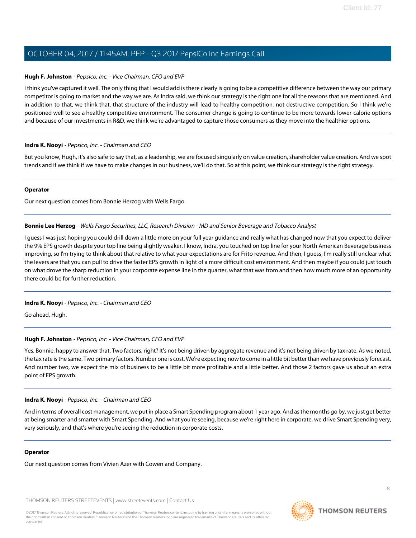#### **Hugh F. Johnston** - Pepsico, Inc. - Vice Chairman, CFO and EVP

I think you've captured it well. The only thing that I would add is there clearly is going to be a competitive difference between the way our primary competitor is going to market and the way we are. As Indra said, we think our strategy is the right one for all the reasons that are mentioned. And in addition to that, we think that, that structure of the industry will lead to healthy competition, not destructive competition. So I think we're positioned well to see a healthy competitive environment. The consumer change is going to continue to be more towards lower-calorie options and because of our investments in R&D, we think we're advantaged to capture those consumers as they move into the healthier options.

#### **Indra K. Nooyi** - Pepsico, Inc. - Chairman and CEO

But you know, Hugh, it's also safe to say that, as a leadership, we are focused singularly on value creation, shareholder value creation. And we spot trends and if we think if we have to make changes in our business, we'll do that. So at this point, we think our strategy is the right strategy.

#### **Operator**

<span id="page-7-0"></span>Our next question comes from Bonnie Herzog with Wells Fargo.

#### **Bonnie Lee Herzog** - Wells Fargo Securities, LLC, Research Division - MD and Senior Beverage and Tobacco Analyst

I guess I was just hoping you could drill down a little more on your full year guidance and really what has changed now that you expect to deliver the 9% EPS growth despite your top line being slightly weaker. I know, Indra, you touched on top line for your North American Beverage business improving, so I'm trying to think about that relative to what your expectations are for Frito revenue. And then, I guess, I'm really still unclear what the levers are that you can pull to drive the faster EPS growth in light of a more difficult cost environment. And then maybe if you could just touch on what drove the sharp reduction in your corporate expense line in the quarter, what that was from and then how much more of an opportunity there could be for further reduction.

#### **Indra K. Nooyi** - Pepsico, Inc. - Chairman and CEO

Go ahead, Hugh.

#### **Hugh F. Johnston** - Pepsico, Inc. - Vice Chairman, CFO and EVP

Yes, Bonnie, happy to answer that. Two factors, right? It's not being driven by aggregate revenue and it's not being driven by tax rate. As we noted, the tax rate is the same. Two primary factors. Number one is cost. We're expecting now to come in a little bit better than we have previously forecast. And number two, we expect the mix of business to be a little bit more profitable and a little better. And those 2 factors gave us about an extra point of EPS growth.

#### **Indra K. Nooyi** - Pepsico, Inc. - Chairman and CEO

And in terms of overall cost management, we put in place a Smart Spending program about 1 year ago. And as the months go by, we just get better at being smarter and smarter with Smart Spending. And what you're seeing, because we're right here in corporate, we drive Smart Spending very, very seriously, and that's where you're seeing the reduction in corporate costs.

#### **Operator**

Our next question comes from Vivien Azer with Cowen and Company.

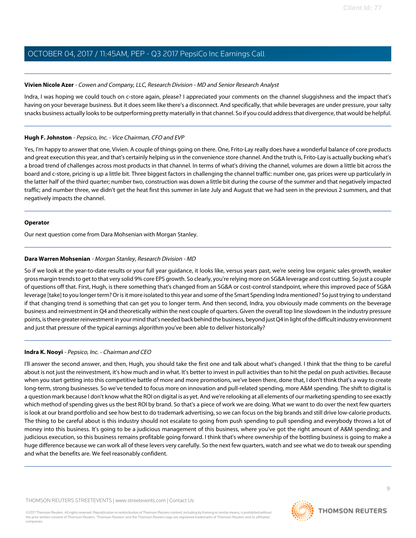#### <span id="page-8-1"></span>**Vivien Nicole Azer** - Cowen and Company, LLC, Research Division - MD and Senior Research Analyst

Indra, I was hoping we could touch on c-store again, please? I appreciated your comments on the channel sluggishness and the impact that's having on your beverage business. But it does seem like there's a disconnect. And specifically, that while beverages are under pressure, your salty snacks business actually looks to be outperforming pretty materially in that channel. So if you could address that divergence, that would be helpful.

#### **Hugh F. Johnston** - Pepsico, Inc. - Vice Chairman, CFO and EVP

Yes, I'm happy to answer that one, Vivien. A couple of things going on there. One, Frito-Lay really does have a wonderful balance of core products and great execution this year, and that's certainly helping us in the convenience store channel. And the truth is, Frito-Lay is actually bucking what's a broad trend of challenges across most products in that channel. In terms of what's driving the channel, volumes are down a little bit across the board and c-store, pricing is up a little bit. Three biggest factors in challenging the channel traffic: number one, gas prices were up particularly in the latter half of the third quarter; number two, construction was down a little bit during the course of the summer and that negatively impacted traffic; and number three, we didn't get the heat first this summer in late July and August that we had seen in the previous 2 summers, and that negatively impacts the channel.

#### **Operator**

<span id="page-8-0"></span>Our next question come from Dara Mohsenian with Morgan Stanley.

#### **Dara Warren Mohsenian** - Morgan Stanley, Research Division - MD

So if we look at the year-to-date results or your full year guidance, it looks like, versus years past, we're seeing low organic sales growth, weaker gross margin trends to get to that very solid 9% core EPS growth. So clearly, you're relying more on SG&A leverage and cost cutting. So just a couple of questions off that. First, Hugh, is there something that's changed from an SG&A or cost-control standpoint, where this improved pace of SG&A leverage [take] to you longer term? Or is it more isolated to this year and some of the Smart Spending Indra mentioned? So just trying to understand if that changing trend is something that can get you to longer term. And then second, Indra, you obviously made comments on the beverage business and reinvestment in Q4 and theoretically within the next couple of quarters. Given the overall top line slowdown in the industry pressure points, is there greater reinvestment in your mind that's needed back behind the business, beyond just Q4 in light of the difficult industry environment and just that pressure of the typical earnings algorithm you've been able to deliver historically?

#### **Indra K. Nooyi** - Pepsico, Inc. - Chairman and CEO

I'll answer the second answer, and then, Hugh, you should take the first one and talk about what's changed. I think that the thing to be careful about is not just the reinvestment, it's how much and in what. It's better to invest in pull activities than to hit the pedal on push activities. Because when you start getting into this competitive battle of more and more promotions, we've been there, done that, I don't think that's a way to create long-term, strong businesses. So we've tended to focus more on innovation and pull-related spending, more A&M spending. The shift to digital is a question mark because I don't know what the ROI on digital is as yet. And we're relooking at all elements of our marketing spending to see exactly which method of spending gives us the best ROI by brand. So that's a piece of work we are doing. What we want to do over the next few quarters is look at our brand portfolio and see how best to do trademark advertising, so we can focus on the big brands and still drive low-calorie products. The thing to be careful about is this industry should not escalate to going from push spending to pull spending and everybody throws a lot of money into this business. It's going to be a judicious management of this business, where you've got the right amount of A&M spending; and judicious execution, so this business remains profitable going forward. I think that's where ownership of the bottling business is going to make a huge difference because we can work all of these levers very carefully. So the next few quarters, watch and see what we do to tweak our spending and what the benefits are. We feel reasonably confident.

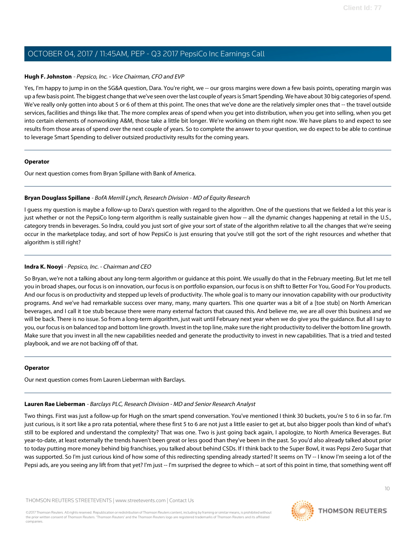#### **Hugh F. Johnston** - Pepsico, Inc. - Vice Chairman, CFO and EVP

Yes, I'm happy to jump in on the SG&A question, Dara. You're right, we -- our gross margins were down a few basis points, operating margin was up a few basis point. The biggest change that we've seen over the last couple of years is Smart Spending. We have about 30 big categories of spend. We've really only gotten into about 5 or 6 of them at this point. The ones that we've done are the relatively simpler ones that -- the travel outside services, facilities and things like that. The more complex areas of spend when you get into distribution, when you get into selling, when you get into certain elements of nonworking A&M, those take a little bit longer. We're working on them right now. We have plans to and expect to see results from those areas of spend over the next couple of years. So to complete the answer to your question, we do expect to be able to continue to leverage Smart Spending to deliver outsized productivity results for the coming years.

#### **Operator**

<span id="page-9-0"></span>Our next question comes from Bryan Spillane with Bank of America.

#### **Bryan Douglass Spillane** - BofA Merrill Lynch, Research Division - MD of Equity Research

I guess my question is maybe a follow-up to Dara's question with regard to the algorithm. One of the questions that we fielded a lot this year is just whether or not the PepsiCo long-term algorithm is really sustainable given how -- all the dynamic changes happening at retail in the U.S., category trends in beverages. So Indra, could you just sort of give your sort of state of the algorithm relative to all the changes that we're seeing occur in the marketplace today, and sort of how PepsiCo is just ensuring that you've still got the sort of the right resources and whether that algorithm is still right?

#### **Indra K. Nooyi** - Pepsico, Inc. - Chairman and CEO

So Bryan, we're not a talking about any long-term algorithm or guidance at this point. We usually do that in the February meeting. But let me tell you in broad shapes, our focus is on innovation, our focus is on portfolio expansion, our focus is on shift to Better For You, Good For You products. And our focus is on productivity and stepped up levels of productivity. The whole goal is to marry our innovation capability with our productivity programs. And we've had remarkable success over many, many, many quarters. This one quarter was a bit of a [toe stub] on North American beverages, and I call it toe stub because there were many external factors that caused this. And believe me, we are all over this business and we will be back. There is no issue. So from a long-term algorithm, just wait until February next year when we do give you the guidance. But all I say to you, our focus is on balanced top and bottom line growth. Invest in the top line, make sure the right productivity to deliver the bottom line growth. Make sure that you invest in all the new capabilities needed and generate the productivity to invest in new capabilities. That is a tried and tested playbook, and we are not backing off of that.

#### <span id="page-9-1"></span>**Operator**

Our next question comes from Lauren Lieberman with Barclays.

#### **Lauren Rae Lieberman** - Barclays PLC, Research Division - MD and Senior Research Analyst

Two things. First was just a follow-up for Hugh on the smart spend conversation. You've mentioned I think 30 buckets, you're 5 to 6 in so far. I'm just curious, is it sort like a pro rata potential, where these first 5 to 6 are not just a little easier to get at, but also bigger pools than kind of what's still to be explored and understand the complexity? That was one. Two is just going back again, I apologize, to North America Beverages. But year-to-date, at least externally the trends haven't been great or less good than they've been in the past. So you'd also already talked about prior to today putting more money behind big franchises, you talked about behind CSDs. If I think back to the Super Bowl, it was Pepsi Zero Sugar that was supported. So I'm just curious kind of how some of this redirecting spending already started? It seems on TV -- I know I'm seeing a lot of the Pepsi ads, are you seeing any lift from that yet? I'm just -- I'm surprised the degree to which -- at sort of this point in time, that something went off

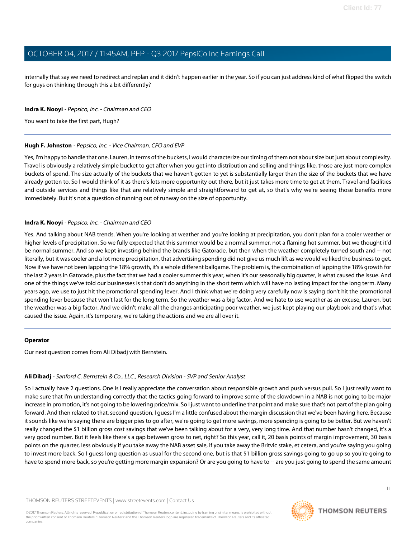internally that say we need to redirect and replan and it didn't happen earlier in the year. So if you can just address kind of what flipped the switch for guys on thinking through this a bit differently?

#### **Indra K. Nooyi** - Pepsico, Inc. - Chairman and CEO

You want to take the first part, Hugh?

#### **Hugh F. Johnston** - Pepsico, Inc. - Vice Chairman, CFO and EVP

Yes, I'm happy to handle that one. Lauren, in terms of the buckets, I would characterize our timing of them not about size but just about complexity. Travel is obviously a relatively simple bucket to get after when you get into distribution and selling and things like, those are just more complex buckets of spend. The size actually of the buckets that we haven't gotten to yet is substantially larger than the size of the buckets that we have already gotten to. So I would think of it as there's lots more opportunity out there, but it just takes more time to get at them. Travel and facilities and outside services and things like that are relatively simple and straightforward to get at, so that's why we're seeing those benefits more immediately. But it's not a question of running out of runway on the size of opportunity.

#### **Indra K. Nooyi** - Pepsico, Inc. - Chairman and CEO

Yes. And talking about NAB trends. When you're looking at weather and you're looking at precipitation, you don't plan for a cooler weather or higher levels of precipitation. So we fully expected that this summer would be a normal summer, not a flaming hot summer, but we thought it'd be normal summer. And so we kept investing behind the brands like Gatorade, but then when the weather completely turned south and -- not literally, but it was cooler and a lot more precipitation, that advertising spending did not give us much lift as we would've liked the business to get. Now if we have not been lapping the 18% growth, it's a whole different ballgame. The problem is, the combination of lapping the 18% growth for the last 2 years in Gatorade, plus the fact that we had a cooler summer this year, when it's our seasonally big quarter, is what caused the issue. And one of the things we've told our businesses is that don't do anything in the short term which will have no lasting impact for the long term. Many years ago, we use to just hit the promotional spending lever. And I think what we're doing very carefully now is saying don't hit the promotional spending lever because that won't last for the long term. So the weather was a big factor. And we hate to use weather as an excuse, Lauren, but the weather was a big factor. And we didn't make all the changes anticipating poor weather, we just kept playing our playbook and that's what caused the issue. Again, it's temporary, we're taking the actions and we are all over it.

#### <span id="page-10-0"></span>**Operator**

Our next question comes from Ali Dibadj with Bernstein.

#### **Ali Dibadj** - Sanford C. Bernstein & Co., LLC., Research Division - SVP and Senior Analyst

So I actually have 2 questions. One is I really appreciate the conversation about responsible growth and push versus pull. So I just really want to make sure that I'm understanding correctly that the tactics going forward to improve some of the slowdown in a NAB is not going to be major increase in promotion, it's not going to be lowering price/mix. So I just want to underline that point and make sure that's not part of the plan going forward. And then related to that, second question, I guess I'm a little confused about the margin discussion that we've been having here. Because it sounds like we're saying there are bigger pies to go after, we're going to get more savings, more spending is going to be better. But we haven't really changed the \$1 billion gross cost savings that we've been talking about for a very, very long time. And that number hasn't changed, it's a very good number. But it feels like there's a gap between gross to net, right? So this year, call it, 20 basis points of margin improvement, 30 basis points on the quarter, less obviously if you take away the NAB asset sale, if you take away the Britvic stake, et cetera, and you're saying you going to invest more back. So I guess long question as usual for the second one, but is that \$1 billion gross savings going to go up so you're going to have to spend more back, so you're getting more margin expansion? Or are you going to have to -- are you just going to spend the same amount

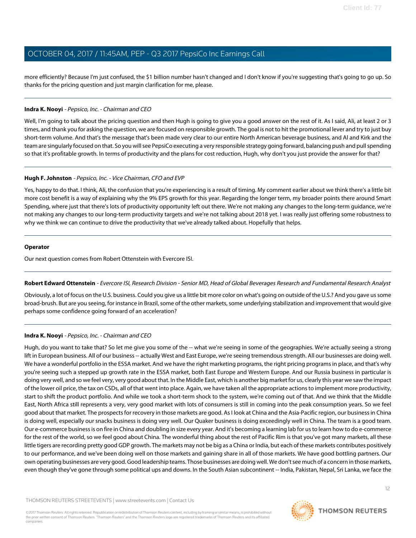more efficiently? Because I'm just confused, the \$1 billion number hasn't changed and I don't know if you're suggesting that's going to go up. So thanks for the pricing question and just margin clarification for me, please.

#### **Indra K. Nooyi** - Pepsico, Inc. - Chairman and CEO

Well, I'm going to talk about the pricing question and then Hugh is going to give you a good answer on the rest of it. As I said, Ali, at least 2 or 3 times, and thank you for asking the question, we are focused on responsible growth. The goal is not to hit the promotional lever and try to just buy short-term volume. And that's the message that's been made very clear to our entire North American beverage business, and Al and Kirk and the team are singularly focused on that. So you will see PepsiCo executing a very responsible strategy going forward, balancing push and pull spending so that it's profitable growth. In terms of productivity and the plans for cost reduction, Hugh, why don't you just provide the answer for that?

#### **Hugh F. Johnston** - Pepsico, Inc. - Vice Chairman, CFO and EVP

Yes, happy to do that. I think, Ali, the confusion that you're experiencing is a result of timing. My comment earlier about we think there's a little bit more cost benefit is a way of explaining why the 9% EPS growth for this year. Regarding the longer term, my broader points there around Smart Spending, where just that there's lots of productivity opportunity left out there. We're not making any changes to the long-term guidance, we're not making any changes to our long-term productivity targets and we're not talking about 2018 yet. I was really just offering some robustness to why we think we can continue to drive the productivity that we've already talked about. Hopefully that helps.

#### **Operator**

<span id="page-11-0"></span>Our next question comes from Robert Ottenstein with Evercore ISI.

#### **Robert Edward Ottenstein** - Evercore ISI, Research Division - Senior MD, Head of Global Beverages Research and Fundamental Research Analyst

Obviously, a lot of focus on the U.S. business. Could you give us a little bit more color on what's going on outside of the U.S.? And you gave us some broad-brush. But are you seeing, for instance in Brazil, some of the other markets, some underlying stabilization and improvement that would give perhaps some confidence going forward of an acceleration?

#### **Indra K. Nooyi** - Pepsico, Inc. - Chairman and CEO

Hugh, do you want to take that? So let me give you some of the -- what we're seeing in some of the geographies. We're actually seeing a strong lift in European business. All of our business -- actually West and East Europe, we're seeing tremendous strength. All our businesses are doing well. We have a wonderful portfolio in the ESSA market. And we have the right marketing programs, the right pricing programs in place, and that's why you're seeing such a stepped up growth rate in the ESSA market, both East Europe and Western Europe. And our Russia business in particular is doing very well, and so we feel very, very good about that. In the Middle East, which is another big market for us, clearly this year we saw the impact of the lower oil price, the tax on CSDs, all of that went into place. Again, we have taken all the appropriate actions to implement more productivity, start to shift the product portfolio. And while we took a short-term shock to the system, we're coming out of that. And we think that the Middle East, North Africa still represents a very, very good market with lots of consumers is still in coming into the peak consumption years. So we feel good about that market. The prospects for recovery in those markets are good. As I look at China and the Asia-Pacific region, our business in China is doing well, especially our snacks business is doing very well. Our Quaker business is doing exceedingly well in China. The team is a good team. Our e-commerce business is on fire in China and doubling in size every year. And it's becoming a learning lab for us to learn how to do e-commerce for the rest of the world, so we feel good about China. The wonderful thing about the rest of Pacific Rim is that you've got many markets, all these little tigers are recording pretty good GDP growth. The markets may not be big as a China or India, but each of these markets contributes positively to our performance, and we've been doing well on those markets and gaining share in all of those markets. We have good bottling partners. Our own operating businesses are very good. Good leadership teams. Those businesses are doing well. We don't see much of a concern in those markets, even though they've gone through some political ups and downs. In the South Asian subcontinent -- India, Pakistan, Nepal, Sri Lanka, we face the

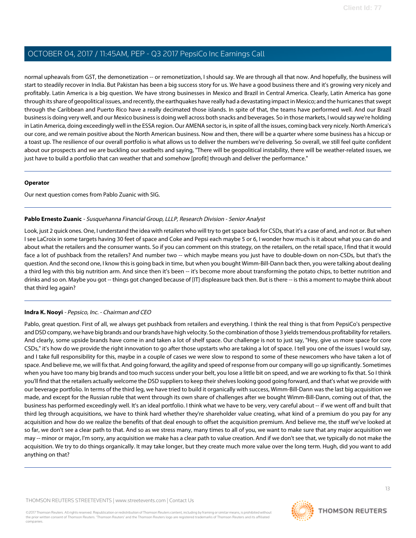normal upheavals from GST, the demonetization -- or remonetization, I should say. We are through all that now. And hopefully, the business will start to steadily recover in India. But Pakistan has been a big success story for us. We have a good business there and it's growing very nicely and profitably. Latin America is a big question. We have strong businesses in Mexico and Brazil in Central America. Clearly, Latin America has gone through its share of geopolitical issues, and recently, the earthquakes have really had a devastating impact in Mexico; and the hurricanes that swept through the Caribbean and Puerto Rico have a really decimated those islands. In spite of that, the teams have performed well. And our Brazil business is doing very well, and our Mexico business is doing well across both snacks and beverages. So in those markets, I would say we're holding in Latin America, doing exceedingly well in the ESSA region. Our AMENA sector is, in spite of all the issues, coming back very nicely. North America's our core, and we remain positive about the North American business. Now and then, there will be a quarter where some business has a hiccup or a toast up. The resilience of our overall portfolio is what allows us to deliver the numbers we're delivering. So overall, we still feel quite confident about our prospects and we are buckling our seatbelts and saying, "There will be geopolitical instability, there will be weather-related issues, we just have to build a portfolio that can weather that and somehow [profit] through and deliver the performance."

#### **Operator**

<span id="page-12-0"></span>Our next question comes from Pablo Zuanic with SIG.

#### **Pablo Ernesto Zuanic** - Susquehanna Financial Group, LLLP, Research Division - Senior Analyst

Look, just 2 quick ones. One, I understand the idea with retailers who will try to get space back for CSDs, that it's a case of and, and not or. But when I see LaCroix in some targets having 30 feet of space and Coke and Pepsi each maybe 5 or 6, I wonder how much is it about what you can do and about what the retailers and the consumer wants. So if you can comment on this strategy, on the retailers, on the retail space, I find that it would face a lot of pushback from the retailers? And number two -- which maybe means you just have to double-down on non-CSDs, but that's the question. And the second one, I know this is going back in time, but when you bought Wimm-Bill-Dann back then, you were talking about dealing a third leg with this big nutrition arm. And since then it's been -- it's become more about transforming the potato chips, to better nutrition and drinks and so on. Maybe you got -- things got changed because of [IT] displeasure back then. But is there -- is this a moment to maybe think about that third leg again?

#### **Indra K. Nooyi** - Pepsico, Inc. - Chairman and CEO

Pablo, great question. First of all, we always get pushback from retailers and everything. I think the real thing is that from PepsiCo's perspective and DSD company, we have big brands and our brands have high velocity. So the combination of those 3 yields tremendous profitability for retailers. And clearly, some upside brands have come in and taken a lot of shelf space. Our challenge is not to just say, "Hey, give us more space for core CSDs," it's how do we provide the right innovation to go after those upstarts who are taking a lot of space. I tell you one of the issues I would say, and I take full responsibility for this, maybe in a couple of cases we were slow to respond to some of these newcomers who have taken a lot of space. And believe me, we will fix that. And going forward, the agility and speed of response from our company will go up significantly. Sometimes when you have too many big brands and too much success under your belt, you lose a little bit on speed, and we are working to fix that. So I think you'll find that the retailers actually welcome the DSD suppliers to keep their shelves looking good going forward, and that's what we provide with our beverage portfolio. In terms of the third leg, we have tried to build it organically with success, Wimm-Bill-Dann was the last big acquisition we made, and except for the Russian ruble that went through its own share of challenges after we bought Wimm-Bill-Dann, coming out of that, the business has performed exceedingly well. It's an ideal portfolio. I think what we have to be very, very careful about -- if we went off and built that third leg through acquisitions, we have to think hard whether they're shareholder value creating, what kind of a premium do you pay for any acquisition and how do we realize the benefits of that deal enough to offset the acquisition premium. And believe me, the stuff we've looked at so far, we don't see a clear path to that. And so as we stress many, many times to all of you, we want to make sure that any major acquisition we may -- minor or major, I'm sorry, any acquisition we make has a clear path to value creation. And if we don't see that, we typically do not make the acquisition. We try to do things organically. It may take longer, but they create much more value over the long term. Hugh, did you want to add anything on that?

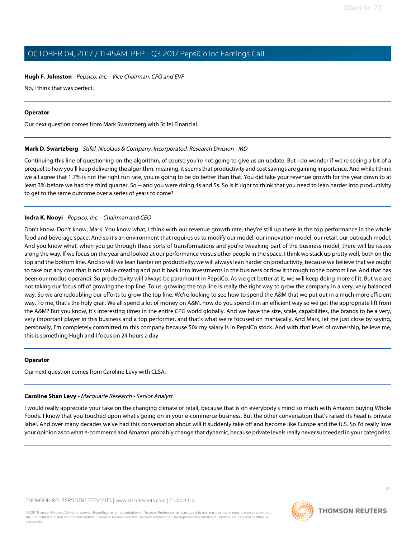#### **Hugh F. Johnston** - Pepsico, Inc. - Vice Chairman, CFO and EVP

No, I think that was perfect.

#### **Operator**

<span id="page-13-1"></span>Our next question comes from Mark Swartzberg with Stifel Financial.

#### **Mark D. Swartzberg** - Stifel, Nicolaus & Company, Incorporated, Research Division - MD

Continuing this line of questioning on the algorithm, of course you're not going to give us an update. But I do wonder if we're seeing a bit of a prequel to how you'll keep delivering the algorithm, meaning, it seems that productivity and cost savings are gaining importance. And while I think we all agree that 1.7% is not the right run rate, you're going to be do better than that. You did take your revenue growth for the year down to at least 3% before we had the third quarter. So -- and you were doing 4s and 5s. So is it right to think that you need to lean harder into productivity to get to the same outcome over a series of years to come?

#### **Indra K. Nooyi** - Pepsico, Inc. - Chairman and CEO

Don't know. Don't know, Mark. You know what, I think with our revenue growth rate, they're still up there in the top performance in the whole food and beverage space. And so it's an environment that requires us to modify our model, our innovation model, our retail, our outreach model. And you know what, when you go through these sorts of transformations and you're tweaking part of the business model, there will be issues along the way. If we focus on the year and looked at our performance versus other people in the space, I think we stack up pretty well, both on the top and the bottom line. And so will we lean harder on productivity, we will always lean harder on productivity, because we believe that we ought to take out any cost that is not value creating and put it back into investments in the business or flow it through to the bottom line. And that has been our modus operandi. So productivity will always be paramount in PepsiCo. As we get better at it, we will keep doing more of it. But we are not taking our focus off of growing the top line. To us, growing the top line is really the right way to grow the company in a very, very balanced way. So we are redoubling our efforts to grow the top line. We're looking to see how to spend the A&M that we put out in a much more efficient way. To me, that's the holy grail. We all spend a lot of money on A&M, how do you spend it in an efficient way so we get the appropriate lift from the A&M? But you know, it's interesting times in the entire CPG world globally. And we have the size, scale, capabilities, the brands to be a very, very important player in this business and a top performer, and that's what we're focused on maniacally. And Mark, let me just close by saying, personally, I'm completely committed to this company because 50x my salary is in PepsiCo stock. And with that level of ownership, believe me, this is something Hugh and I focus on 24 hours a day.

#### <span id="page-13-0"></span>**Operator**

Our next question comes from Caroline Levy with CLSA.

#### **Caroline Shan Levy** - Macquarie Research - Senior Analyst

I would really appreciate your take on the changing climate of retail, because that is on everybody's mind so much with Amazon buying Whole Foods. I know that you touched upon what's going on in your e-commerce business. But the other conversation that's raised its head is private label. And over many decades we've had this conversation about will it suddenly take off and become like Europe and the U.S. So I'd really love your opinion as to what e-commerce and Amazon probably change that dynamic, because private levels really never succeeded in your categories.

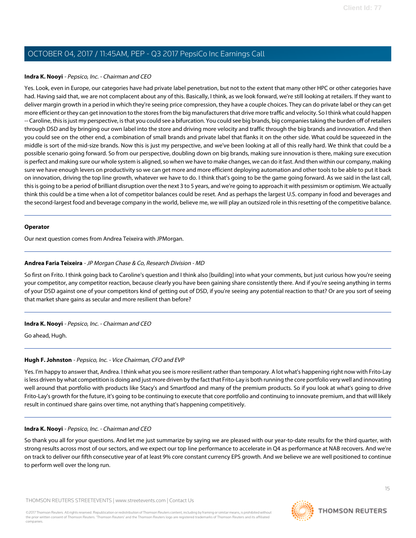#### **Indra K. Nooyi** - Pepsico, Inc. - Chairman and CEO

Yes. Look, even in Europe, our categories have had private label penetration, but not to the extent that many other HPC or other categories have had. Having said that, we are not complacent about any of this. Basically, I think, as we look forward, we're still looking at retailers. If they want to deliver margin growth in a period in which they're seeing price compression, they have a couple choices. They can do private label or they can get more efficient or they can get innovation to the stores from the big manufacturers that drive more traffic and velocity. So I think what could happen -- Caroline, this is just my perspective, is that you could see a bifurcation. You could see big brands, big companies taking the burden off of retailers through DSD and by bringing our own label into the store and driving more velocity and traffic through the big brands and innovation. And then you could see on the other end, a combination of small brands and private label that flanks it on the other side. What could be squeezed in the middle is sort of the mid-size brands. Now this is just my perspective, and we've been looking at all of this really hard. We think that could be a possible scenario going forward. So from our perspective, doubling down on big brands, making sure innovation is there, making sure execution is perfect and making sure our whole system is aligned, so when we have to make changes, we can do it fast. And then within our company, making sure we have enough levers on productivity so we can get more and more efficient deploying automation and other tools to be able to put it back on innovation, driving the top line growth, whatever we have to do. I think that's going to be the game going forward. As we said in the last call, this is going to be a period of brilliant disruption over the next 3 to 5 years, and we're going to approach it with pessimism or optimism. We actually think this could be a time when a lot of competitor balances could be reset. And as perhaps the largest U.S. company in food and beverages and the second-largest food and beverage company in the world, believe me, we will play an outsized role in this resetting of the competitive balance.

#### **Operator**

<span id="page-14-0"></span>Our next question comes from Andrea Teixeira with JPMorgan.

#### **Andrea Faria Teixeira** - JP Morgan Chase & Co, Research Division - MD

So first on Frito. I think going back to Caroline's question and I think also [building] into what your comments, but just curious how you're seeing your competitor, any competitor reaction, because clearly you have been gaining share consistently there. And if you're seeing anything in terms of your DSD against one of your competitors kind of getting out of DSD, if you're seeing any potential reaction to that? Or are you sort of seeing that market share gains as secular and more resilient than before?

#### **Indra K. Nooyi** - Pepsico, Inc. - Chairman and CEO

Go ahead, Hugh.

#### **Hugh F. Johnston** - Pepsico, Inc. - Vice Chairman, CFO and EVP

Yes. I'm happy to answer that, Andrea. I think what you see is more resilient rather than temporary. A lot what's happening right now with Frito-Lay is less driven by what competition is doing and just more driven by the fact that Frito-Lay is both running the core portfolio very well and innovating well around that portfolio with products like Stacy's and Smartfood and many of the premium products. So if you look at what's going to drive Frito-Lay's growth for the future, it's going to be continuing to execute that core portfolio and continuing to innovate premium, and that will likely result in continued share gains over time, not anything that's happening competitively.

#### **Indra K. Nooyi** - Pepsico, Inc. - Chairman and CEO

So thank you all for your questions. And let me just summarize by saying we are pleased with our year-to-date results for the third quarter, with strong results across most of our sectors, and we expect our top line performance to accelerate in Q4 as performance at NAB recovers. And we're on track to deliver our fifth consecutive year of at least 9% core constant currency EPS growth. And we believe we are well positioned to continue to perform well over the long run.